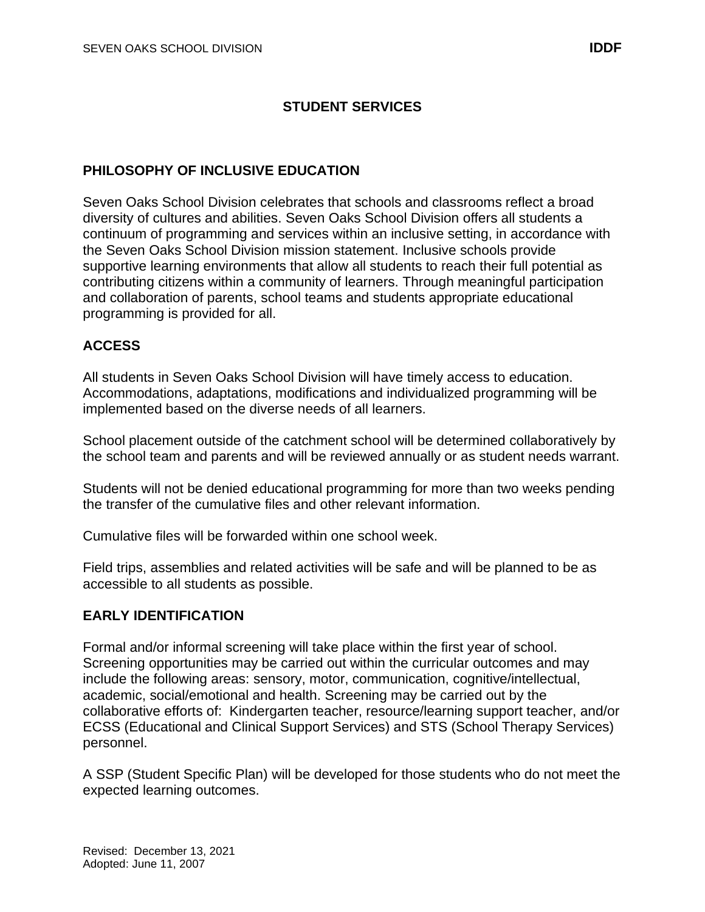# **STUDENT SERVICES**

#### **PHILOSOPHY OF INCLUSIVE EDUCATION**

Seven Oaks School Division celebrates that schools and classrooms reflect a broad diversity of cultures and abilities. Seven Oaks School Division offers all students a continuum of programming and services within an inclusive setting, in accordance with the Seven Oaks School Division mission statement. Inclusive schools provide supportive learning environments that allow all students to reach their full potential as contributing citizens within a community of learners. Through meaningful participation and collaboration of parents, school teams and students appropriate educational programming is provided for all.

#### **ACCESS**

All students in Seven Oaks School Division will have timely access to education. Accommodations, adaptations, modifications and individualized programming will be implemented based on the diverse needs of all learners.

School placement outside of the catchment school will be determined collaboratively by the school team and parents and will be reviewed annually or as student needs warrant.

Students will not be denied educational programming for more than two weeks pending the transfer of the cumulative files and other relevant information.

Cumulative files will be forwarded within one school week.

Field trips, assemblies and related activities will be safe and will be planned to be as accessible to all students as possible.

#### **EARLY IDENTIFICATION**

Formal and/or informal screening will take place within the first year of school. Screening opportunities may be carried out within the curricular outcomes and may include the following areas: sensory, motor, communication, cognitive/intellectual, academic, social/emotional and health. Screening may be carried out by the collaborative efforts of: Kindergarten teacher, resource/learning support teacher, and/or ECSS (Educational and Clinical Support Services) and STS (School Therapy Services) personnel.

A SSP (Student Specific Plan) will be developed for those students who do not meet the expected learning outcomes.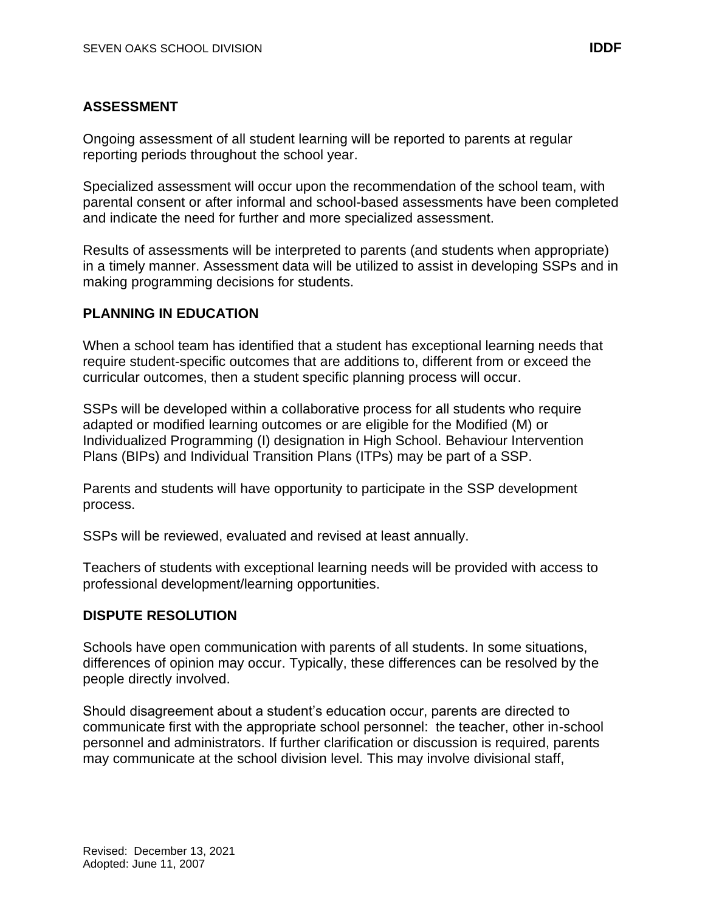# **ASSESSMENT**

Ongoing assessment of all student learning will be reported to parents at regular reporting periods throughout the school year.

Specialized assessment will occur upon the recommendation of the school team, with parental consent or after informal and school-based assessments have been completed and indicate the need for further and more specialized assessment.

Results of assessments will be interpreted to parents (and students when appropriate) in a timely manner. Assessment data will be utilized to assist in developing SSPs and in making programming decisions for students.

# **PLANNING IN EDUCATION**

When a school team has identified that a student has exceptional learning needs that require student-specific outcomes that are additions to, different from or exceed the curricular outcomes, then a student specific planning process will occur.

SSPs will be developed within a collaborative process for all students who require adapted or modified learning outcomes or are eligible for the Modified (M) or Individualized Programming (I) designation in High School. Behaviour Intervention Plans (BIPs) and Individual Transition Plans (ITPs) may be part of a SSP.

Parents and students will have opportunity to participate in the SSP development process.

SSPs will be reviewed, evaluated and revised at least annually.

Teachers of students with exceptional learning needs will be provided with access to professional development/learning opportunities.

### **DISPUTE RESOLUTION**

Schools have open communication with parents of all students. In some situations, differences of opinion may occur. Typically, these differences can be resolved by the people directly involved.

Should disagreement about a student's education occur, parents are directed to communicate first with the appropriate school personnel: the teacher, other in-school personnel and administrators. If further clarification or discussion is required, parents may communicate at the school division level. This may involve divisional staff,